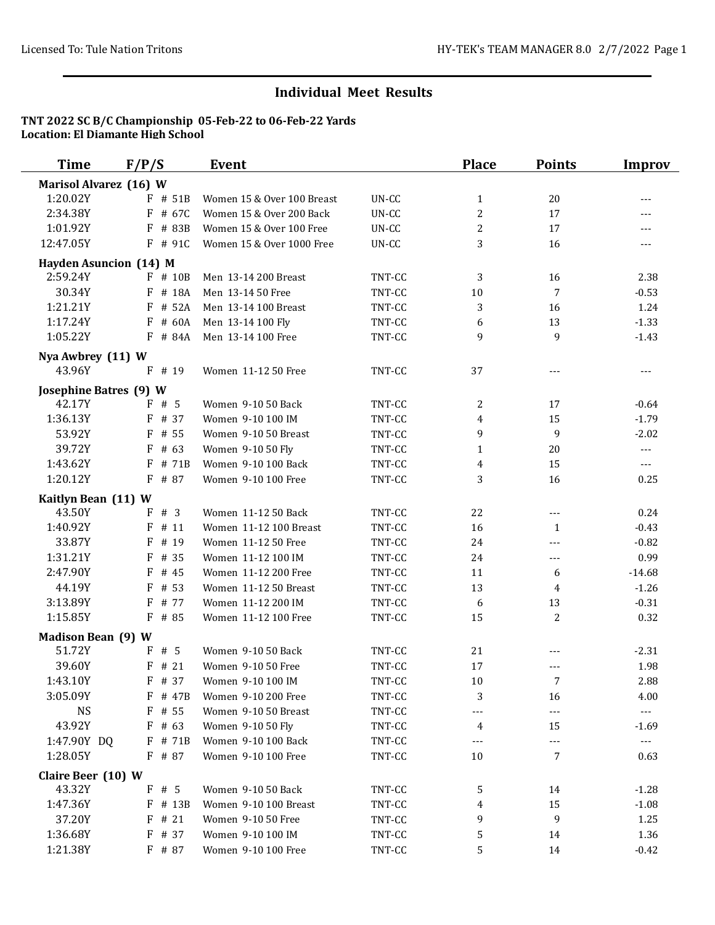| <b>Time</b>                   | F/P/S      | <b>Event</b>               |        | <b>Place</b>   | <b>Points</b>  | <b>Improv</b>        |
|-------------------------------|------------|----------------------------|--------|----------------|----------------|----------------------|
| Marisol Alvarez (16) W        |            |                            |        |                |                |                      |
| 1:20.02Y                      | $F$ # 51B  | Women 15 & Over 100 Breast | UN-CC  | $\mathbf{1}$   | 20             | $---$                |
| 2:34.38Y                      | F # 67C    | Women 15 & Over 200 Back   | UN-CC  | $\overline{c}$ | 17             | $---$                |
| 1:01.92Y                      | F # 83B    | Women 15 & Over 100 Free   | UN-CC  | $\overline{c}$ | 17             | ---                  |
| 12:47.05Y                     | F # 91C    | Women 15 & Over 1000 Free  | UN-CC  | 3              | 16             | $---$                |
| <b>Hayden Asuncion (14) M</b> |            |                            |        |                |                |                      |
| 2:59.24Y                      | $F$ # 10B  | Men 13-14 200 Breast       | TNT-CC | 3              | 16             | 2.38                 |
| 30.34Y                        | F # 18A    | Men 13-14 50 Free          | TNT-CC | 10             | 7              | $-0.53$              |
| 1:21.21Y                      | $F$ # 52A  | Men 13-14 100 Breast       | TNT-CC | 3              | 16             | 1.24                 |
| 1:17.24Y                      | # 60A<br>F | Men 13-14 100 Fly          | TNT-CC | 6              | 13             | $-1.33$              |
| 1:05.22Y                      | F # 84A    | Men 13-14 100 Free         | TNT-CC | 9              | 9              | $-1.43$              |
| Nya Awbrey (11) W             |            |                            |        |                |                |                      |
| 43.96Y                        | F<br># 19  | Women 11-12 50 Free        | TNT-CC | 37             | $---$          | ---                  |
| <b>Josephine Batres (9) W</b> |            |                            |        |                |                |                      |
| 42.17Y                        | F#5        | Women 9-10 50 Back         | TNT-CC | 2              | 17             | $-0.64$              |
| 1:36.13Y                      | $F$ # 37   | Women 9-10 100 IM          | TNT-CC | 4              | 15             | $-1.79$              |
| 53.92Y                        | $F$ # 55   | Women 9-10 50 Breast       | TNT-CC | 9              | 9              | $-2.02$              |
| 39.72Y                        | # 63<br>F  | Women 9-10 50 Fly          | TNT-CC | $\mathbf{1}$   | 20             | $\scriptstyle\cdots$ |
| 1:43.62Y                      | # 71B<br>F | Women 9-10 100 Back        | TNT-CC | 4              | 15             | $\qquad \qquad - -$  |
| 1:20.12Y                      | F # 87     | Women 9-10 100 Free        | TNT-CC | 3              | 16             | 0.25                 |
| Kaitlyn Bean (11) W           |            |                            |        |                |                |                      |
| 43.50Y                        | F<br>#3    | Women 11-12 50 Back        | TNT-CC | 22             | $\overline{a}$ | 0.24                 |
| 1:40.92Y                      | F<br># 11  | Women 11-12 100 Breast     | TNT-CC | 16             | $\mathbf{1}$   | $-0.43$              |
| 33.87Y                        | F<br># 19  | Women 11-12 50 Free        | TNT-CC | 24             | $---$          | $-0.82$              |
| 1:31.21Y                      | $F$ # 35   | Women 11-12 100 IM         | TNT-CC | 24             | $---$          | 0.99                 |
| 2:47.90Y                      | $F$ # 45   | Women 11-12 200 Free       | TNT-CC | 11             | 6              | $-14.68$             |
| 44.19Y                        | $F$ # 53   | Women 11-12 50 Breast      | TNT-CC | 13             | 4              | $-1.26$              |
| 3:13.89Y                      | # 77<br>F  | Women 11-12 200 IM         | TNT-CC | 6              | 13             | $-0.31$              |
| 1:15.85Y                      | F # 85     | Women 11-12 100 Free       | TNT-CC | 15             | 2              | 0.32                 |
| <b>Madison Bean (9) W</b>     |            |                            |        |                |                |                      |
| 51.72Y                        | # 5<br>F   | Women 9-10 50 Back         | TNT-CC | 21             | ---            | $-2.31$              |
| 39.60Y                        | $F$ # 21   | Women 9-10 50 Free         | TNT-CC | 17             | $---$          | 1.98                 |
| 1:43.10Y                      | $F$ # 37   | Women 9-10 100 IM          | TNT-CC | $10\,$         | 7              | 2.88                 |
| 3:05.09Y                      | F<br># 47B | Women 9-10 200 Free        | TNT-CC | 3              | 16             | 4.00                 |
| <b>NS</b>                     | $F$ # 55   | Women 9-10 50 Breast       | TNT-CC | ---            | ---            | $\scriptstyle\cdots$ |
| 43.92Y                        | $F$ # 63   | Women 9-10 50 Fly          | TNT-CC | 4              | 15             | $-1.69$              |
| 1:47.90Y DQ                   | $F$ # 71B  | Women 9-10 100 Back        | TNT-CC | ---            | ---            | $\scriptstyle\cdots$ |
| 1:28.05Y                      | $F$ # 87   | Women 9-10 100 Free        | TNT-CC | 10             | 7              | 0.63                 |
| Claire Beer (10) W            |            |                            |        |                |                |                      |
| 43.32Y                        | F#5        | Women 9-10 50 Back         | TNT-CC | 5              | 14             | $-1.28$              |
| 1:47.36Y                      | $F$ # 13B  | Women 9-10 100 Breast      | TNT-CC | 4              | 15             | $-1.08$              |
| 37.20Y                        | $F$ # 21   | Women 9-10 50 Free         | TNT-CC | 9              | 9              | 1.25                 |
| 1:36.68Y                      | F # 37     | Women 9-10 100 IM          | TNT-CC | 5              | 14             | 1.36                 |
| 1:21.38Y                      | F # 87     | Women 9-10 100 Free        | TNT-CC | 5              | 14             | $-0.42$              |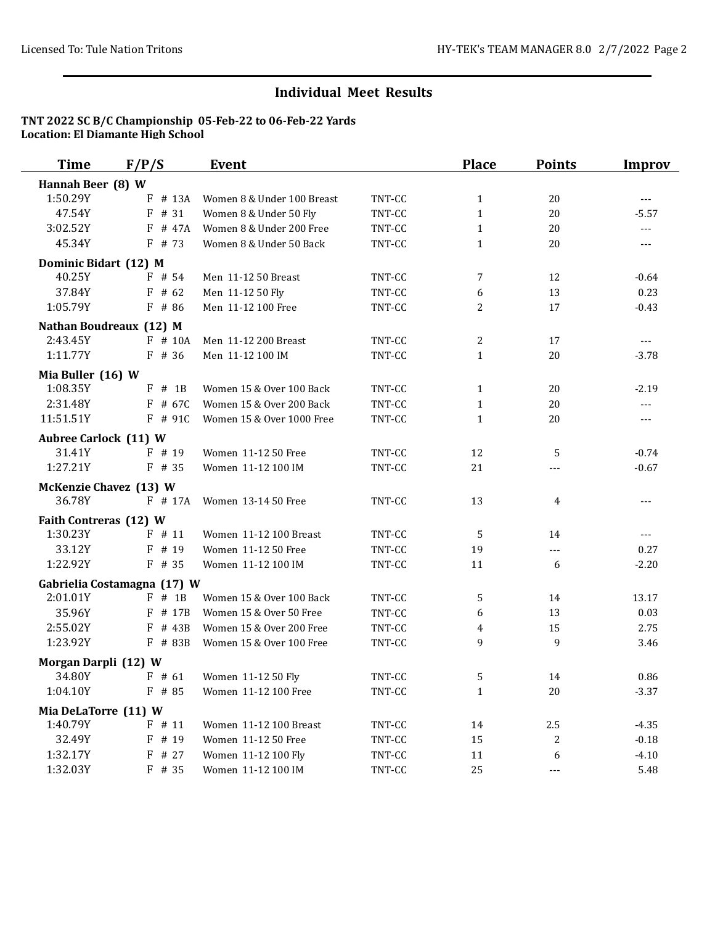| <b>Time</b>                  | F/P/S                                      | Event                      |        | <b>Place</b> | <b>Points</b> | <b>Improv</b>  |
|------------------------------|--------------------------------------------|----------------------------|--------|--------------|---------------|----------------|
| Hannah Beer (8) W            |                                            |                            |        |              |               |                |
| 1:50.29Y                     | F<br># 13A                                 | Women 8 & Under 100 Breast | TNT-CC | $\mathbf{1}$ | 20            | $\cdots$       |
| 47.54Y                       | # 31<br>F                                  | Women 8 & Under 50 Fly     | TNT-CC | $\mathbf{1}$ | 20            | $-5.57$        |
| 3:02.52Y                     | F<br># 47A                                 | Women 8 & Under 200 Free   | TNT-CC | $\mathbf{1}$ | 20            | ---            |
| 45.34Y                       | $F$ # 73                                   | Women 8 & Under 50 Back    | TNT-CC | $\mathbf{1}$ | 20            | ---            |
| Dominic Bidart (12) M        |                                            |                            |        |              |               |                |
| 40.25Y                       | $F$ # 54                                   | Men 11-12 50 Breast        | TNT-CC | 7            | 12            | $-0.64$        |
| 37.84Y                       | $F$ # 62                                   | Men 11-12 50 Fly           | TNT-CC | 6            | 13            | 0.23           |
| 1:05.79Y                     | $F$ # 86                                   | Men 11-12 100 Free         | TNT-CC | 2            | 17            | $-0.43$        |
|                              | Nathan Boudreaux (12) M                    |                            |        |              |               |                |
| 2:43.45Y                     | $F$ # 10A                                  | Men 11-12 200 Breast       | TNT-CC | 2            | 17            | $- - -$        |
| 1:11.77Y                     | $F$ # 36                                   | Men 11-12 100 IM           | TNT-CC | $\mathbf{1}$ | 20            | $-3.78$        |
| Mia Buller (16) W            |                                            |                            |        |              |               |                |
| 1:08.35Y                     | $F$ # 1B                                   | Women 15 & Over 100 Back   | TNT-CC | $\mathbf{1}$ | 20            | $-2.19$        |
| 2:31.48Y                     | F # 67C                                    | Women 15 & Over 200 Back   | TNT-CC | $\mathbf{1}$ | 20            | $\overline{a}$ |
| 11:51.51Y                    | $F$ # 91C                                  | Women 15 & Over 1000 Free  | TNT-CC | $\mathbf{1}$ | 20            | $\cdots$       |
| <b>Aubree Carlock (11) W</b> |                                            |                            |        |              |               |                |
| 31.41Y                       | $F$ # 19                                   | Women 11-12 50 Free        | TNT-CC | 12           | 5             | $-0.74$        |
| 1:27.21Y                     | $F$ # 35                                   | Women 11-12 100 IM         | TNT-CC | 21           | $---$         | $-0.67$        |
|                              |                                            |                            |        |              |               |                |
| 36.78Y                       | <b>McKenzie Chavez (13) W</b><br>$F$ # 17A | Women 13-14 50 Free        | TNT-CC | 13           | 4             | $- - -$        |
|                              |                                            |                            |        |              |               |                |
| Faith Contreras (12) W       |                                            |                            |        |              |               |                |
| 1:30.23Y                     | $F$ # 11                                   | Women 11-12 100 Breast     | TNT-CC | 5            | 14            | $\cdots$       |
| 33.12Y                       | F<br># 19                                  | Women 11-12 50 Free        | TNT-CC | 19           | ---           | 0.27           |
| 1:22.92Y                     | $F$ # 35                                   | Women 11-12 100 IM         | TNT-CC | 11           | 6             | $-2.20$        |
|                              | Gabrielia Costamagna (17) W                |                            |        |              |               |                |
| 2:01.01Y                     | $F$ # 1B                                   | Women 15 & Over 100 Back   | TNT-CC | 5            | 14            | 13.17          |
| 35.96Y                       | F<br># 17B                                 | Women 15 & Over 50 Free    | TNT-CC | 6            | 13            | 0.03           |
| 2:55.02Y                     | $F$ # 43B                                  | Women 15 & Over 200 Free   | TNT-CC | 4            | 15            | 2.75           |
| 1:23.92Y                     | F # 83B                                    | Women 15 & Over 100 Free   | TNT-CC | 9            | 9             | 3.46           |
| Morgan Darpli (12) W         |                                            |                            |        |              |               |                |
| 34.80Y                       | $F$ # 61                                   | Women 11-12 50 Fly         | TNT-CC | 5            | 14            | 0.86           |
| 1:04.10Y                     | $F$ # 85                                   | Women 11-12 100 Free       | TNT-CC | $\mathbf{1}$ | 20            | $-3.37$        |
| Mia DeLaTorre (11) W         |                                            |                            |        |              |               |                |
| 1:40.79Y                     | $F$ # 11                                   | Women 11-12 100 Breast     | TNT-CC | 14           | 2.5           | $-4.35$        |
| 32.49Y                       | F # 19                                     | Women 11-12 50 Free        | TNT-CC | 15           | 2             | $-0.18$        |
| 1:32.17Y                     | $F$ # 27                                   | Women 11-12 100 Fly        | TNT-CC | 11           | 6             | $-4.10$        |
| 1:32.03Y                     | $F$ # 35                                   | Women 11-12 100 IM         | TNT-CC | 25           | $---$         | 5.48           |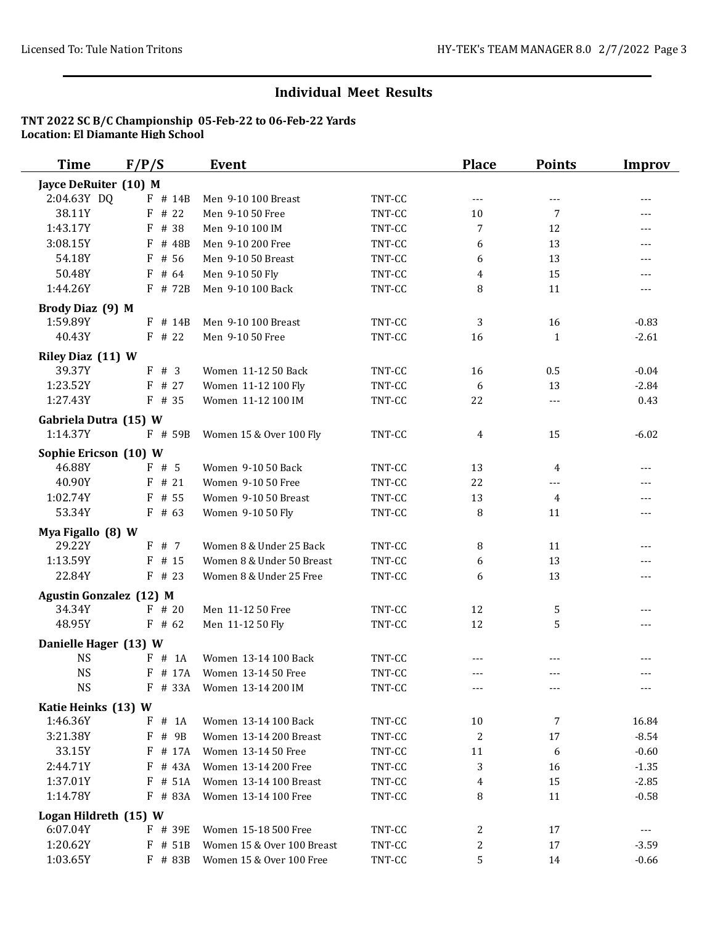| <b>Time</b>                       | F/P/S      | <b>Event</b>               |        | <b>Place</b> | <b>Points</b> | <b>Improv</b> |
|-----------------------------------|------------|----------------------------|--------|--------------|---------------|---------------|
| Jayce DeRuiter (10) M             |            |                            |        |              |               |               |
| 2:04.63Y DQ                       | $F$ # 14B  | Men 9-10 100 Breast        | TNT-CC | $- - -$      | $- - -$       | ---           |
| 38.11Y                            | $F$ # 22   | Men 9-10 50 Free           | TNT-CC | 10           | 7             | ---           |
| 1:43.17Y                          | # 38<br>F  | Men 9-10 100 IM            | TNT-CC | 7            | 12            | $---$         |
| 3:08.15Y                          | # 48B<br>F | Men 9-10 200 Free          | TNT-CC | 6            | 13            | ---           |
| 54.18Y                            | F<br># 56  | Men 9-10 50 Breast         | TNT-CC | 6            | 13            | ---           |
| 50.48Y                            | F<br># 64  | Men 9-10 50 Fly            | TNT-CC | 4            | 15            |               |
| 1:44.26Y                          | F # 72B    | Men 9-10 100 Back          | TNT-CC | 8            | 11            | $---$         |
| Brody Diaz (9) M                  |            |                            |        |              |               |               |
| 1:59.89Y                          | $F$ # 14B  | Men 9-10 100 Breast        | TNT-CC | 3            | 16            | $-0.83$       |
| 40.43Y                            | $F$ # 22   | Men 9-10 50 Free           | TNT-CC | 16           | 1             | $-2.61$       |
| Riley Diaz (11) W                 |            |                            |        |              |               |               |
| 39.37Y                            | F#3        | Women 11-12 50 Back        | TNT-CC | 16           | 0.5           | $-0.04$       |
| 1:23.52Y                          | $F$ # 27   | Women 11-12 100 Fly        | TNT-CC | 6            | 13            | $-2.84$       |
| 1:27.43Y                          | $F$ # 35   | Women 11-12 100 IM         | TNT-CC | 22           | $---$         | 0.43          |
|                                   |            |                            |        |              |               |               |
| Gabriela Dutra (15) W<br>1:14.37Y | $F$ # 59B  | Women 15 & Over 100 Fly    | TNT-CC | 4            | 15            | $-6.02$       |
|                                   |            |                            |        |              |               |               |
| Sophie Ericson (10) W             |            |                            |        |              |               |               |
| 46.88Y                            | F#5        | Women 9-10 50 Back         | TNT-CC | 13           | 4             | $---$         |
| 40.90Y                            | $F$ # 21   | Women 9-10 50 Free         | TNT-CC | 22           | $---$         | ---           |
| 1:02.74Y                          | # 55<br>F  | Women 9-10 50 Breast       | TNT-CC | 13           | 4             | ---           |
| 53.34Y                            | $F$ # 63   | Women 9-10 50 Fly          | TNT-CC | 8            | 11            | ---           |
| Mya Figallo (8) W                 |            |                            |        |              |               |               |
| 29.22Y                            | F # 7      | Women 8 & Under 25 Back    | TNT-CC | 8            | 11            |               |
| 1:13.59Y                          | $F$ # 15   | Women 8 & Under 50 Breast  | TNT-CC | 6            | 13            |               |
| 22.84Y                            | $F$ # 23   | Women 8 & Under 25 Free    | TNT-CC | 6            | 13            | ---           |
| <b>Agustin Gonzalez (12) M</b>    |            |                            |        |              |               |               |
| 34.34Y                            | $F$ # 20   | Men 11-12 50 Free          | TNT-CC | 12           | 5             | $---$         |
| 48.95Y                            | $F$ # 62   | Men 11-12 50 Fly           | TNT-CC | 12           | 5             | ---           |
| Danielle Hager (13) W             |            |                            |        |              |               |               |
| <b>NS</b>                         | F # 1A     | Women 13-14 100 Back       | TNT-CC |              |               |               |
| <b>NS</b>                         | $F$ # 17A  | Women 13-14 50 Free        | TNT-CC | $---$        | $- - -$       | $---$         |
| <b>NS</b>                         | $F$ # 33A  | Women 13-14 200 IM         | TNT-CC | $---$        | $---$         | ---           |
| Katie Heinks (13) W               |            |                            |        |              |               |               |
| 1:46.36Y                          | F # 1A     | Women 13-14 100 Back       | TNT-CC | 10           | 7             | 16.84         |
| 3:21.38Y                          | F # 9B     | Women 13-14 200 Breast     | TNT-CC | 2            | 17            | $-8.54$       |
| 33.15Y                            | # 17A<br>F | Women 13-14 50 Free        | TNT-CC | 11           | 6             | $-0.60$       |
| 2:44.71Y                          | F<br># 43A | Women 13-14 200 Free       | TNT-CC | 3            | 16            | $-1.35$       |
| 1:37.01Y                          | # 51A<br>F | Women 13-14 100 Breast     | TNT-CC | 4            | 15            | $-2.85$       |
| 1:14.78Y                          | F # 83A    | Women 13-14 100 Free       | TNT-CC | 8            | 11            | $-0.58$       |
| Logan Hildreth (15) W             |            |                            |        |              |               |               |
| 6:07.04Y                          | F # 39E    | Women 15-18 500 Free       | TNT-CC | 2            | 17            | $---$         |
| 1:20.62Y                          | F<br># 51B | Women 15 & Over 100 Breast | TNT-CC | 2            | 17            | $-3.59$       |
| 1:03.65Y                          | F # 83B    | Women 15 & Over 100 Free   | TNT-CC | 5            | 14            | $-0.66$       |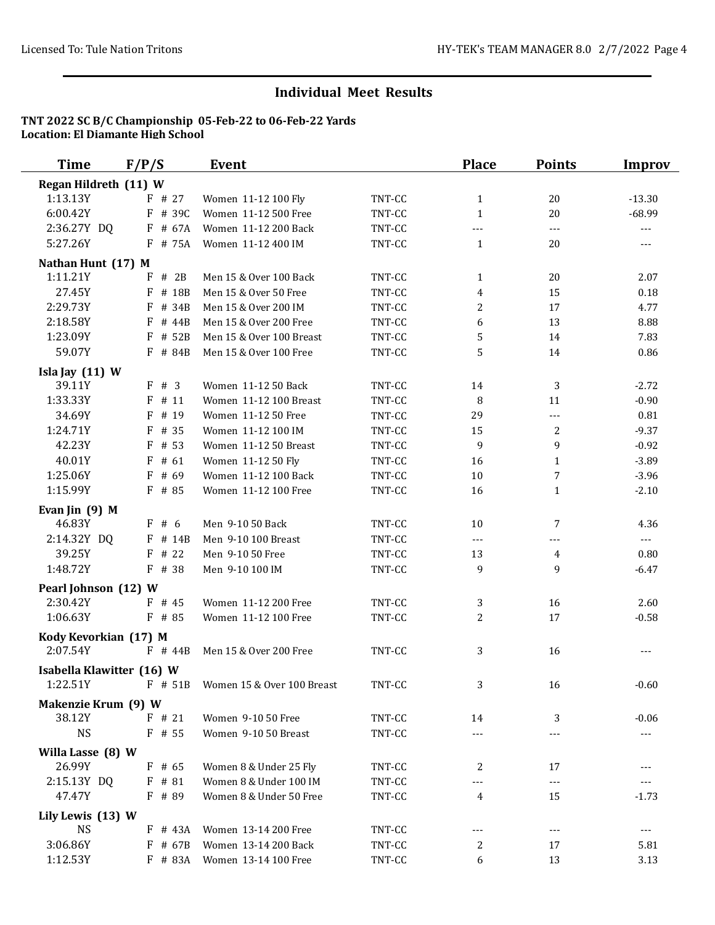| <b>Time</b>               | F/P/S       | <b>Event</b>               |        | <b>Place</b>   | <b>Points</b>  | <b>Improv</b>        |
|---------------------------|-------------|----------------------------|--------|----------------|----------------|----------------------|
| Regan Hildreth (11) W     |             |                            |        |                |                |                      |
| 1:13.13Y                  | $F$ # 27    | Women 11-12 100 Fly        | TNT-CC | $\mathbf{1}$   | 20             | $-13.30$             |
| 6:00.42Y                  | F # 39C     | Women 11-12 500 Free       | TNT-CC | $\mathbf{1}$   | 20             | $-68.99$             |
| 2:36.27Y DQ               | F # 67A     | Women 11-12 200 Back       | TNT-CC | ---            | $\overline{a}$ | $\scriptstyle\cdots$ |
| 5:27.26Y                  | $F$ # 75A   | Women 11-12 400 IM         | TNT-CC | $\mathbf{1}$   | 20             | $---$                |
| Nathan Hunt (17) M        |             |                            |        |                |                |                      |
| 1:11.21Y                  | $F \# 2B$   | Men 15 & Over 100 Back     | TNT-CC | $\mathbf{1}$   | 20             | 2.07                 |
| 27.45Y                    | $F$ # 18B   | Men 15 & Over 50 Free      | TNT-CC | 4              | 15             | 0.18                 |
| 2:29.73Y                  | F<br># 34B  | Men 15 & Over 200 IM       | TNT-CC | 2              | 17             | 4.77                 |
| 2:18.58Y                  | $F$ # 44B   | Men 15 & Over 200 Free     | TNT-CC | 6              | 13             | 8.88                 |
| 1:23.09Y                  | # 52B<br>F  | Men 15 & Over 100 Breast   | TNT-CC | 5              | 14             | 7.83                 |
| 59.07Y                    | # 84B<br>F. | Men 15 & Over 100 Free     | TNT-CC | 5              | 14             | 0.86                 |
| Isla Jay $(11)$ W         |             |                            |        |                |                |                      |
| 39.11Y                    | F#3         | Women 11-12 50 Back        | TNT-CC | 14             | 3              | $-2.72$              |
| 1:33.33Y                  | F<br># 11   | Women 11-12 100 Breast     | TNT-CC | 8              | 11             | $-0.90$              |
| 34.69Y                    | F<br># 19   | Women 11-12 50 Free        | TNT-CC | 29             | ---            | 0.81                 |
| 1:24.71Y                  | F<br># 35   | Women 11-12 100 IM         | TNT-CC | 15             | 2              | $-9.37$              |
| 42.23Y                    | $F$ # 53    | Women 11-12 50 Breast      | TNT-CC | 9              | 9              | $-0.92$              |
| 40.01Y                    | $F$ # 61    | Women 11-12 50 Fly         | TNT-CC | 16             | $\mathbf{1}$   | $-3.89$              |
| 1:25.06Y                  | F<br># 69   | Women 11-12 100 Back       | TNT-CC | 10             | 7              | $-3.96$              |
| 1:15.99Y                  | F # 85      | Women 11-12 100 Free       | TNT-CC | 16             | $\mathbf{1}$   | $-2.10$              |
| Evan Jin $(9)$ M          |             |                            |        |                |                |                      |
| 46.83Y                    | F#6         | Men 9-10 50 Back           | TNT-CC | 10             | 7              | 4.36                 |
| 2:14.32Y DQ               | $F$ # 14B   | Men 9-10 100 Breast        | TNT-CC | ---            | $---$          | $\overline{a}$       |
| 39.25Y                    | # 22<br>F   | Men 9-10 50 Free           | TNT-CC | 13             | $\overline{4}$ | 0.80                 |
| 1:48.72Y                  | F # 38      | Men 9-10 100 IM            | TNT-CC | 9              | 9              | $-6.47$              |
| Pearl Johnson (12) W      |             |                            |        |                |                |                      |
| 2:30.42Y                  | $F$ # 45    | Women 11-12 200 Free       | TNT-CC | 3              | 16             | 2.60                 |
| 1:06.63Y                  | F # 85      | Women 11-12 100 Free       | TNT-CC | $\overline{c}$ | 17             | $-0.58$              |
| Kody Kevorkian (17) M     |             |                            |        |                |                |                      |
| 2:07.54Y                  | $F$ # 44B   | Men 15 & Over 200 Free     | TNT-CC | 3              | 16             | $---$                |
| Isabella Klawitter (16) W |             |                            |        |                |                |                      |
| 1:22.51Y                  | $F$ # 51B   | Women 15 & Over 100 Breast | TNT-CC | 3              | 16             | $-0.60$              |
| Makenzie Krum (9) W       |             |                            |        |                |                |                      |
| 38.12Y                    | $F$ # 21    | Women 9-10 50 Free         | TNT-CC | 14             | 3              | $-0.06$              |
| <b>NS</b>                 | $F$ # 55    | Women 9-10 50 Breast       | TNT-CC | ---            | $---$          | $\sim$ $\sim$ $\sim$ |
| Willa Lasse (8) W         |             |                            |        |                |                |                      |
| 26.99Y                    | $F$ # 65    | Women 8 & Under 25 Fly     | TNT-CC | 2              | 17             | ---                  |
| 2:15.13Y DQ               | $F$ # 81    | Women 8 & Under 100 IM     | TNT-CC |                | $---$          |                      |
| 47.47Y                    | $F$ # 89    | Women 8 & Under 50 Free    | TNT-CC | 4              | 15             | $-1.73$              |
| Lily Lewis (13) W         |             |                            |        |                |                |                      |
| <b>NS</b>                 | $F$ # 43A   | Women 13-14 200 Free       | TNT-CC | ---            | $---$          | $---$                |
| 3:06.86Y                  | $F$ # 67B   | Women 13-14 200 Back       | TNT-CC | 2              | 17             | 5.81                 |
| 1:12.53Y                  | F # 83A     | Women 13-14 100 Free       | TNT-CC | 6              | 13             | 3.13                 |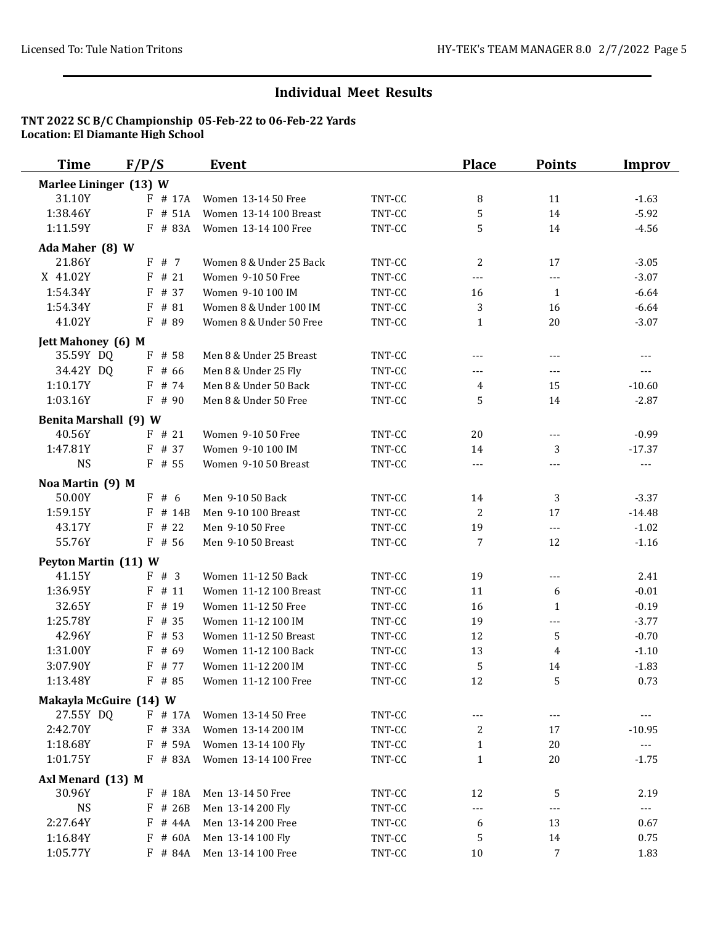| <b>Time</b>                  | F/P/S                | <b>Event</b>            |        | <b>Place</b> | <b>Points</b>            | <b>Improv</b>         |
|------------------------------|----------------------|-------------------------|--------|--------------|--------------------------|-----------------------|
| Marlee Lininger (13) W       |                      |                         |        |              |                          |                       |
| 31.10Y                       | $F$ # 17A            | Women 13-14 50 Free     | TNT-CC | 8            | 11                       | $-1.63$               |
| 1:38.46Y                     | F # 51A              | Women 13-14 100 Breast  | TNT-CC | 5            | 14                       | $-5.92$               |
| 1:11.59Y                     | F # 83A              | Women 13-14 100 Free    | TNT-CC | 5            | 14                       | $-4.56$               |
| Ada Maher (8) W              |                      |                         |        |              |                          |                       |
| 21.86Y                       | F#7                  | Women 8 & Under 25 Back | TNT-CC | 2            | 17                       | $-3.05$               |
| X 41.02Y                     | $F$ # 21             | Women 9-10 50 Free      | TNT-CC | $---$        | $---$                    | $-3.07$               |
| 1:54.34Y                     | $F$ # 37             | Women 9-10 100 IM       | TNT-CC | 16           | 1                        | $-6.64$               |
| 1:54.34Y                     | $F$ # 81             | Women 8 & Under 100 IM  | TNT-CC | 3            | 16                       | $-6.64$               |
| 41.02Y                       | $F$ # 89             | Women 8 & Under 50 Free | TNT-CC | $\mathbf{1}$ | 20                       | $-3.07$               |
| <b>Jett Mahoney</b> (6) M    |                      |                         |        |              |                          |                       |
| 35.59Y DQ                    | F # 58               | Men 8 & Under 25 Breast | TNT-CC | $---$        | $---$                    | $---$                 |
| 34.42Y DQ                    | $F$ # 66             | Men 8 & Under 25 Fly    | TNT-CC | $---$        | ---                      | ---                   |
| 1:10.17Y                     | $F$ # 74             | Men 8 & Under 50 Back   | TNT-CC | 4            | 15                       | $-10.60$              |
| 1:03.16Y                     | $F$ # 90             | Men 8 & Under 50 Free   | TNT-CC | 5            | 14                       | $-2.87$               |
| <b>Benita Marshall (9) W</b> |                      |                         |        |              |                          |                       |
| 40.56Y                       | $F$ # 21             | Women 9-10 50 Free      | TNT-CC | 20           | ---                      | $-0.99$               |
| 1:47.81Y                     | F # 37               | Women 9-10 100 IM       | TNT-CC | 14           | 3                        | $-17.37$              |
| <b>NS</b>                    | $F$ # 55             | Women 9-10 50 Breast    | TNT-CC | ---          | $---$                    | $\qquad \qquad - -$   |
| Noa Martin (9) M             |                      |                         |        |              |                          |                       |
| 50.00Y                       | F#6                  | Men 9-10 50 Back        | TNT-CC | 14           | 3                        | $-3.37$               |
| 1:59.15Y                     | # 14B<br>F           | Men 9-10 100 Breast     | TNT-CC | 2            | 17                       | $-14.48$              |
| 43.17Y                       | # 22<br>F            | Men 9-10 50 Free        | TNT-CC | 19           | $\overline{a}$           | $-1.02$               |
| 55.76Y                       | $F$ # 56             | Men 9-10 50 Breast      | TNT-CC | 7            | 12                       | $-1.16$               |
| Peyton Martin (11) W         |                      |                         |        |              |                          |                       |
| 41.15Y                       | F # 3                | Women 11-12 50 Back     | TNT-CC | 19           | $\overline{\phantom{a}}$ | 2.41                  |
| 1:36.95Y                     | $F$ # 11             | Women 11-12 100 Breast  | TNT-CC | 11           | 6                        | $-0.01$               |
| 32.65Y                       | $F$ # 19             | Women 11-12 50 Free     | TNT-CC | 16           | 1                        | $-0.19$               |
| 1:25.78Y                     | $F$ # 35             | Women 11-12 100 IM      | TNT-CC | 19           | ---                      | $-3.77$               |
| 42.96Y                       | F<br># 53            | Women 11-12 50 Breast   | TNT-CC | 12           | 5                        | $-0.70$               |
| 1:31.00Y                     | $F$ # 69             | Women 11-12 100 Back    | TNT-CC | 13           | 4                        | $-1.10$               |
| 3:07.90Y                     | $F$ # 77             | Women 11-12 200 IM      | TNT-CC | 5            | 14                       | $-1.83$               |
| 1:13.48Y                     | F # 85               | Women 11-12 100 Free    | TNT-CC | 12           | 5                        | 0.73                  |
| Makayla McGuire (14) W       |                      |                         |        |              |                          |                       |
| 27.55Y DQ                    | F # 17A              | Women 13-14 50 Free     | TNT-CC | ---          |                          | ---                   |
| 2:42.70Y                     | F # 33A              | Women 13-14 200 IM      | TNT-CC | 2            | 17                       | $-10.95$              |
| 1:18.68Y                     | F # 59A              | Women 13-14 100 Fly     | TNT-CC | $\mathbf{1}$ | 20                       | $\scriptstyle \cdots$ |
| 1:01.75Y                     | F # 83A              | Women 13-14 100 Free    | TNT-CC | $\mathbf{1}$ | 20                       | $-1.75$               |
| Axl Menard (13) M            |                      |                         |        |              |                          |                       |
| 30.96Y                       | F # 18A              | Men 13-14 50 Free       | TNT-CC | 12           | 5                        | 2.19                  |
| <b>NS</b>                    | $\mathbf F$<br># 26B | Men 13-14 200 Fly       | TNT-CC | ---          | ---                      | $\scriptstyle \cdots$ |
| 2:27.64Y                     | # 44A<br>F           | Men 13-14 200 Free      | TNT-CC | 6            | 13                       | 0.67                  |
| 1:16.84Y                     | F # 60A              | Men 13-14 100 Fly       | TNT-CC | 5            | 14                       | 0.75                  |
| 1:05.77Y                     | F # 84A              | Men 13-14 100 Free      | TNT-CC | 10           | 7                        | 1.83                  |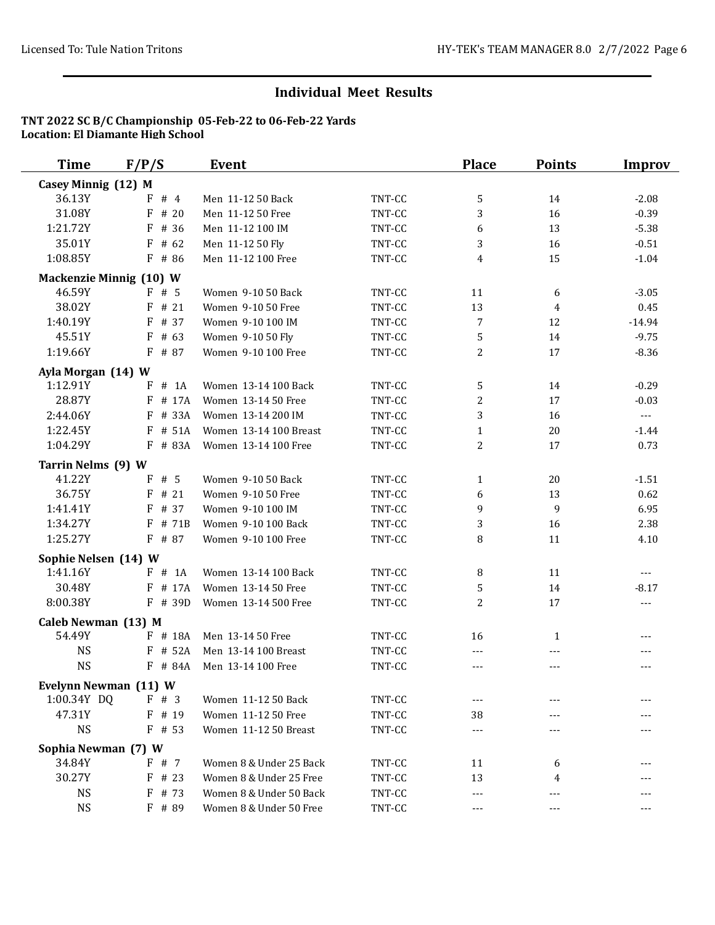| <b>Time</b>                  | F/P/S                          | Event                                   |                  | <b>Place</b>   | <b>Points</b>  | <b>Improv</b>   |
|------------------------------|--------------------------------|-----------------------------------------|------------------|----------------|----------------|-----------------|
| Casey Minnig (12) M          |                                |                                         |                  |                |                |                 |
| 36.13Y                       | #4<br>F                        | Men 11-12 50 Back                       | TNT-CC           | 5              | 14             | $-2.08$         |
| 31.08Y                       | F<br># 20                      | Men 11-12 50 Free                       | TNT-CC           | 3              | 16             | $-0.39$         |
| 1:21.72Y                     | F<br># 36                      | Men 11-12 100 IM                        | TNT-CC           | 6              | 13             | $-5.38$         |
| 35.01Y                       | F<br># 62                      | Men 11-12 50 Fly                        | TNT-CC           | 3              | 16             | $-0.51$         |
| 1:08.85Y                     | F # 86                         | Men 11-12 100 Free                      | TNT-CC           | 4              | 15             | $-1.04$         |
|                              | <b>Mackenzie Minnig (10) W</b> |                                         |                  |                |                |                 |
| 46.59Y                       | F#5                            | Women 9-10 50 Back                      | TNT-CC           | 11             | 6              | $-3.05$         |
| 38.02Y                       | $F$ # 21                       | Women 9-10 50 Free                      | TNT-CC           | 13             | $\overline{4}$ | 0.45            |
| 1:40.19Y                     | F<br># 37                      | Women 9-10 100 IM                       | TNT-CC           | 7              | 12             | $-14.94$        |
| 45.51Y                       | $F$ # 63                       | Women 9-10 50 Fly                       | TNT-CC           | 5              | 14             | $-9.75$         |
| 1:19.66Y                     | F # 87                         | Women 9-10 100 Free                     | TNT-CC           | 2              | 17             | $-8.36$         |
| Ayla Morgan (14) W           |                                |                                         |                  |                |                |                 |
| 1:12.91Y                     | # 1A<br>F                      | Women 13-14 100 Back                    | TNT-CC           | 5              | 14             | $-0.29$         |
| 28.87Y                       | # 17A<br>F                     | Women 13-14 50 Free                     | TNT-CC           | $\overline{c}$ | 17             | $-0.03$         |
| 2:44.06Y                     | # 33A<br>F                     | Women 13-14 200 IM                      | TNT-CC           | 3              | 16             | $\overline{a}$  |
| 1:22.45Y                     | # 51A<br>F                     | Women 13-14 100 Breast                  | TNT-CC           | $\mathbf{1}$   | 20             | $-1.44$         |
| 1:04.29Y                     | F # 83A                        | Women 13-14 100 Free                    | TNT-CC           | $\overline{c}$ | 17             | 0.73            |
|                              |                                |                                         |                  |                |                |                 |
| Tarrin Nelms (9) W<br>41.22Y | F<br># 5                       | Women 9-10 50 Back                      |                  |                |                |                 |
| 36.75Y                       | # 21<br>F                      |                                         | TNT-CC           | $\mathbf{1}$   | 20<br>13       | $-1.51$<br>0.62 |
| 1:41.41Y                     | F<br># 37                      | Women 9-10 50 Free<br>Women 9-10 100 IM | TNT-CC           | 6              | 9              | 6.95            |
| 1:34.27Y                     | # 71B<br>F                     | Women 9-10 100 Back                     | TNT-CC<br>TNT-CC | 9              |                |                 |
|                              |                                |                                         |                  | 3              | 16             | 2.38            |
| 1:25.27Y                     | F # 87                         | Women 9-10 100 Free                     | TNT-CC           | 8              | 11             | 4.10            |
| Sophie Nelsen (14) W         |                                |                                         |                  |                |                |                 |
| 1:41.16Y                     | F # 1A                         | Women 13-14 100 Back                    | TNT-CC           | 8              | 11             | $---$           |
| 30.48Y                       | F # 17A                        | Women 13-14 50 Free                     | TNT-CC           | 5              | 14             | $-8.17$         |
| 8:00.38Y                     | F # 39D                        | Women 13-14 500 Free                    | TNT-CC           | $\overline{2}$ | 17             | ---             |
| Caleb Newman (13) M          |                                |                                         |                  |                |                |                 |
| 54.49Y                       | F # 18A                        | Men 13-14 50 Free                       | TNT-CC           | 16             | $\mathbf{1}$   | $---$           |
| <b>NS</b>                    | F # 52A                        | Men 13-14 100 Breast                    | TNT-CC           | ---            | ---            |                 |
| <b>NS</b>                    | F # 84A                        | Men 13-14 100 Free                      | TNT-CC           | $---$          | $---$          | $---$           |
| Evelynn Newman (11) W        |                                |                                         |                  |                |                |                 |
| 1:00.34Y DQ                  | F # 3                          | Women 11-12 50 Back                     | TNT-CC           | ---            |                |                 |
| 47.31Y                       | $F$ # 19                       | Women 11-12 50 Free                     | TNT-CC           | 38             |                |                 |
| <b>NS</b>                    | $F$ # 53                       | Women 11-12 50 Breast                   | TNT-CC           | ---            |                |                 |
| Sophia Newman (7) W          |                                |                                         |                  |                |                |                 |
| 34.84Y                       | F # 7                          | Women 8 & Under 25 Back                 | TNT-CC           | 11             | 6              |                 |
| 30.27Y                       | $F$ # 23                       | Women 8 & Under 25 Free                 | TNT-CC           | 13             | 4              |                 |
| <b>NS</b>                    | $F$ # 73                       | Women 8 & Under 50 Back                 | TNT-CC           | $---$          | $---$          | ---             |
| <b>NS</b>                    | F # 89                         | Women 8 & Under 50 Free                 | TNT-CC           | $- - -$        | $---$          | $---$           |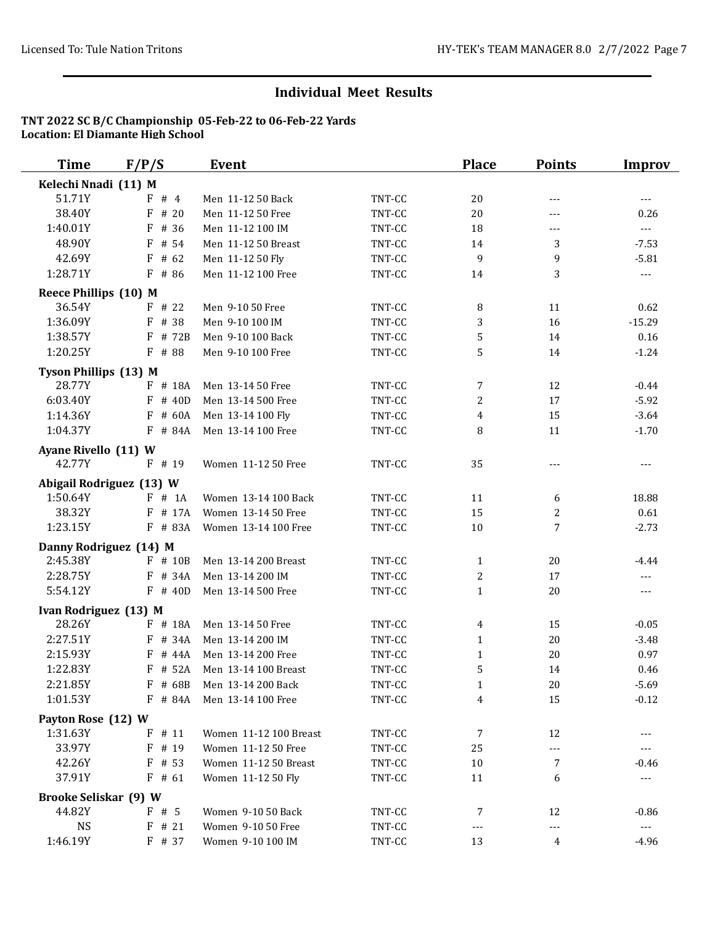| <b>Time</b>                  | F/P/S      | <b>Event</b>           |        | <b>Place</b>   | <b>Points</b> | <b>Improv</b>         |
|------------------------------|------------|------------------------|--------|----------------|---------------|-----------------------|
| Kelechi Nnadi (11) M         |            |                        |        |                |               |                       |
| 51.71Y                       | F#4        | Men 11-12 50 Back      | TNT-CC | 20             | $---$         | $\overline{a}$        |
| 38.40Y                       | F<br># 20  | Men 11-12 50 Free      | TNT-CC | 20             | $---$         | 0.26                  |
| 1:40.01Y                     | # 36<br>F  | Men 11-12 100 IM       | TNT-CC | 18             | ---           | $---$                 |
| 48.90Y                       | F # 54     | Men 11-12 50 Breast    | TNT-CC | 14             | 3             | $-7.53$               |
| 42.69Y                       | $F$ # 62   | Men 11-12 50 Fly       | TNT-CC | 9              | 9             | $-5.81$               |
| 1:28.71Y                     | $F$ # 86   | Men 11-12 100 Free     | TNT-CC | 14             | 3             | $---$                 |
| Reece Phillips (10) M        |            |                        |        |                |               |                       |
| 36.54Y                       | $F$ # 22   | Men 9-10 50 Free       | TNT-CC | 8              | 11            | 0.62                  |
| 1:36.09Y                     | F # 38     | Men 9-10 100 IM        | TNT-CC | 3              | 16            | $-15.29$              |
| 1:38.57Y                     | $F$ # 72B  | Men 9-10 100 Back      | TNT-CC | 5              | 14            | 0.16                  |
| 1:20.25Y                     | F # 88     | Men 9-10 100 Free      | TNT-CC | 5              | 14            | $-1.24$               |
| <b>Tyson Phillips (13) M</b> |            |                        |        |                |               |                       |
| 28.77Y                       | $F$ # 18A  | Men 13-14 50 Free      | TNT-CC | $\overline{7}$ | 12            | $-0.44$               |
| 6:03.40Y                     | $F$ # 40D  | Men 13-14 500 Free     | TNT-CC | $\overline{c}$ | 17            | $-5.92$               |
| 1:14.36Y                     | $F$ # 60A  | Men 13-14 100 Fly      | TNT-CC | 4              | 15            | $-3.64$               |
| 1:04.37Y                     | F # 84A    | Men 13-14 100 Free     | TNT-CC | 8              | 11            | $-1.70$               |
| Ayane Rivello (11) W         |            |                        |        |                |               |                       |
| 42.77Y                       | F # 19     | Women 11-12 50 Free    | TNT-CC | 35             | $---$         | $---$                 |
| Abigail Rodriguez (13) W     |            |                        |        |                |               |                       |
| 1:50.64Y                     | F # 1A     | Women 13-14 100 Back   | TNT-CC | 11             | 6             | 18.88                 |
| 38.32Y                       | F # 17A    | Women 13-14 50 Free    | TNT-CC | 15             | 2             | 0.61                  |
| 1:23.15Y                     | $F$ # 83A  | Women 13-14 100 Free   | TNT-CC | 10             | 7             | $-2.73$               |
| Danny Rodriguez (14) M       |            |                        |        |                |               |                       |
| 2:45.38Y                     | $F$ # 10B  | Men 13-14 200 Breast   | TNT-CC | $\mathbf{1}$   | 20            | $-4.44$               |
| 2:28.75Y                     | F # 34A    | Men 13-14 200 IM       | TNT-CC | 2              | 17            | $\overline{a}$        |
| 5:54.12Y                     | $F$ # 40D  | Men 13-14 500 Free     | TNT-CC | $\mathbf{1}$   | 20            | ---                   |
| Ivan Rodriguez (13) M        |            |                        |        |                |               |                       |
| 28.26Y                       | $F$ # 18A  | Men 13-14 50 Free      | TNT-CC | 4              | 15            | $-0.05$               |
| 2:27.51Y                     | # 34A<br>F | Men 13-14 200 IM       | TNT-CC | $\mathbf{1}$   | 20            | $-3.48$               |
| 2:15.93Y                     | # 44A<br>F | Men 13-14 200 Free     | TNT-CC | $\mathbf{1}$   | 20            | 0.97                  |
| 1:22.83Y                     | F # 52A    | Men 13-14 100 Breast   | TNT-CC | 5              | 14            | 0.46                  |
| 2:21.85Y                     | F # 68B    | Men 13-14 200 Back     | TNT-CC | 1              | 20            | $-5.69$               |
| 1:01.53Y                     | $F$ # 84A  | Men 13-14 100 Free     | TNT-CC | 4              | 15            | $-0.12$               |
| Payton Rose (12) W           |            |                        |        |                |               |                       |
| 1:31.63Y                     | $F$ # 11   | Women 11-12 100 Breast | TNT-CC | 7              | 12            | ---                   |
| 33.97Y                       | $F$ # 19   | Women 11-12 50 Free    | TNT-CC | 25             | ---           | ---                   |
| 42.26Y                       | $F$ # 53   | Women 11-12 50 Breast  | TNT-CC | 10             | 7             | $-0.46$               |
| 37.91Y                       | $F$ # 61   | Women 11-12 50 Fly     | TNT-CC | 11             | 6             | $\scriptstyle\cdots$  |
| <b>Brooke Seliskar (9) W</b> |            |                        |        |                |               |                       |
| 44.82Y                       | F#5        | Women 9-10 50 Back     | TNT-CC | 7              | 12            | $-0.86$               |
| <b>NS</b>                    | $F$ # 21   | Women 9-10 50 Free     | TNT-CC | $---$          | $---$         | $\scriptstyle \cdots$ |
| 1:46.19Y                     | F # 37     | Women 9-10 100 IM      | TNT-CC | 13             | 4             | $-4.96$               |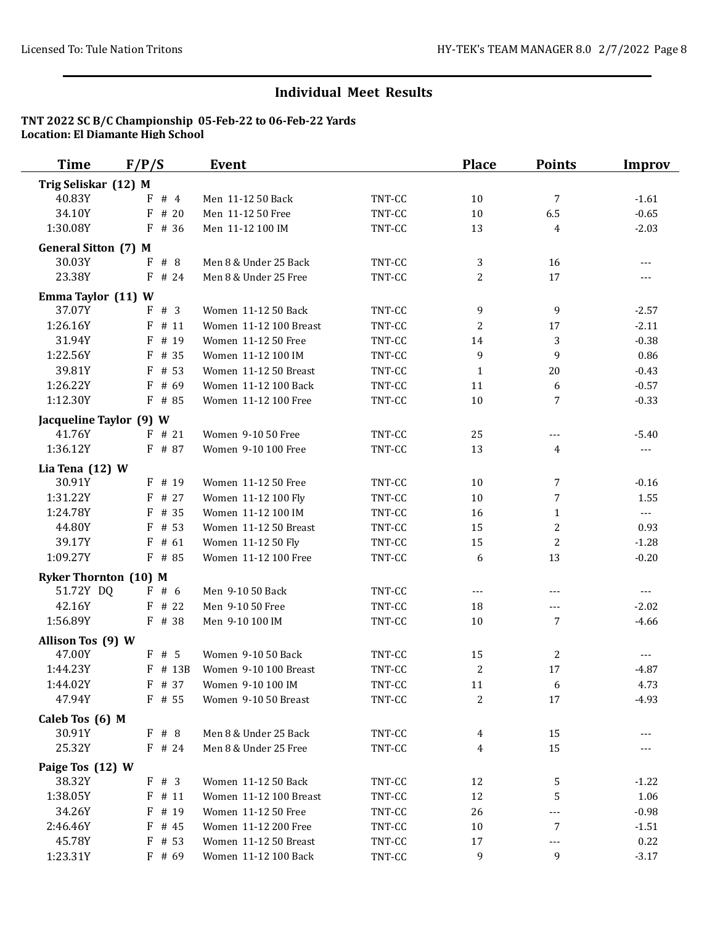| <b>Time</b>                               | F/P/S     | <b>Event</b>           |        | <b>Place</b>   | <b>Points</b>  | <b>Improv</b>  |
|-------------------------------------------|-----------|------------------------|--------|----------------|----------------|----------------|
| Trig Seliskar (12) M                      |           |                        |        |                |                |                |
| 40.83Y                                    | #4<br>F   | Men 11-12 50 Back      | TNT-CC | 10             | 7              | $-1.61$        |
| 34.10Y                                    | F<br># 20 | Men 11-12 50 Free      | TNT-CC | 10             | 6.5            | $-0.65$        |
| 1:30.08Y                                  | F # 36    | Men 11-12 100 IM       | TNT-CC | 13             | $\overline{4}$ | $-2.03$        |
| <b>General Sitton (7) M</b>               |           |                        |        |                |                |                |
| 30.03Y                                    | F#8       | Men 8 & Under 25 Back  | TNT-CC | 3              | 16             | $---$          |
| 23.38Y                                    | $F$ # 24  | Men 8 & Under 25 Free  | TNT-CC | 2              | 17             |                |
|                                           |           |                        |        |                |                |                |
| Emma Taylor (11) W                        |           |                        |        |                |                |                |
| 37.07Y                                    | F # 3     | Women 11-12 50 Back    | TNT-CC | 9              | 9              | $-2.57$        |
| 1:26.16Y                                  | F<br># 11 | Women 11-12 100 Breast | TNT-CC | 2              | 17             | $-2.11$        |
| 31.94Y                                    | F # 19    | Women 11-12 50 Free    | TNT-CC | 14             | 3              | $-0.38$        |
| 1:22.56Y                                  | F # 35    | Women 11-12 100 IM     | TNT-CC | 9              | 9              | 0.86           |
| 39.81Y                                    | F<br># 53 | Women 11-12 50 Breast  | TNT-CC | $\mathbf{1}$   | 20             | $-0.43$        |
| 1:26.22Y                                  | # 69<br>F | Women 11-12 100 Back   | TNT-CC | 11             | 6              | $-0.57$        |
| 1:12.30Y                                  | F # 85    | Women 11-12 100 Free   | TNT-CC | $10\,$         | 7              | $-0.33$        |
| Jacqueline Taylor (9) W                   |           |                        |        |                |                |                |
| 41.76Y                                    | $F$ # 21  | Women 9-10 50 Free     | TNT-CC | 25             | ---            | $-5.40$        |
| 1:36.12Y                                  | F # 87    | Women 9-10 100 Free    | TNT-CC | 13             | 4              | $---$          |
| Lia Tena (12) W                           |           |                        |        |                |                |                |
| 30.91Y                                    | $F$ # 19  | Women 11-12 50 Free    | TNT-CC | 10             | 7              | $-0.16$        |
| 1:31.22Y                                  | F # 27    | Women 11-12 100 Fly    | TNT-CC | 10             | 7              | 1.55           |
| 1:24.78Y                                  | F<br># 35 | Women 11-12 100 IM     | TNT-CC | 16             | $\mathbf{1}$   | $\sim$ $\sim$  |
| 44.80Y                                    | F<br># 53 | Women 11-12 50 Breast  | TNT-CC | 15             | $\overline{a}$ | 0.93           |
| 39.17Y                                    | # 61<br>F | Women 11-12 50 Fly     | TNT-CC | 15             | $\overline{2}$ | $-1.28$        |
| 1:09.27Y                                  | $F$ # 85  | Women 11-12 100 Free   | TNT-CC | 6              | 13             | $-0.20$        |
|                                           |           |                        |        |                |                |                |
| <b>Ryker Thornton (10) M</b><br>51.72Y DQ | F#6       | Men 9-10 50 Back       | TNT-CC | ---            | $---$          | $\overline{a}$ |
| 42.16Y                                    | $F$ # 22  |                        |        |                |                |                |
| 1:56.89Y                                  |           | Men 9-10 50 Free       | TNT-CC | 18             | ---<br>7       | $-2.02$        |
|                                           | $F$ # 38  | Men 9-10 100 IM        | TNT-CC | 10             |                | $-4.66$        |
| Allison Tos (9) W                         |           |                        |        |                |                |                |
| 47.00Y                                    | F#5       | Women 9-10 50 Back     | TNT-CC | 15             | 2              |                |
| 1:44.23Y                                  | F # 13B   | Women 9-10 100 Breast  | TNT-CC | $\overline{c}$ | 17             | $-4.87$        |
| 1:44.02Y                                  | F # 37    | Women 9-10 100 IM      | TNT-CC | 11             | 6              | 4.73           |
| 47.94Y                                    | $F$ # 55  | Women 9-10 50 Breast   | TNT-CC | $\overline{c}$ | 17             | $-4.93$        |
| Caleb Tos (6) M                           |           |                        |        |                |                |                |
| 30.91Y                                    | F # 8     | Men 8 & Under 25 Back  | TNT-CC | 4              | 15             |                |
| 25.32Y                                    | $F$ # 24  | Men 8 & Under 25 Free  | TNT-CC | 4              | 15             |                |
| Paige Tos (12) W                          |           |                        |        |                |                |                |
| 38.32Y                                    | F # 3     | Women 11-12 50 Back    | TNT-CC | 12             | 5              | $-1.22$        |
| 1:38.05Y                                  | $F$ # 11  | Women 11-12 100 Breast | TNT-CC | 12             | 5              | 1.06           |
| 34.26Y                                    | F<br># 19 | Women 11-12 50 Free    | TNT-CC | 26             | ---            | $-0.98$        |
| 2:46.46Y                                  | $F$ # 45  | Women 11-12 200 Free   | TNT-CC | $10\,$         | 7              | $-1.51$        |
| 45.78Y                                    | $F$ # 53  | Women 11-12 50 Breast  | TNT-CC | 17             | ---            | 0.22           |
| 1:23.31Y                                  | $F$ # 69  | Women 11-12 100 Back   | TNT-CC | 9              | 9              | $-3.17$        |